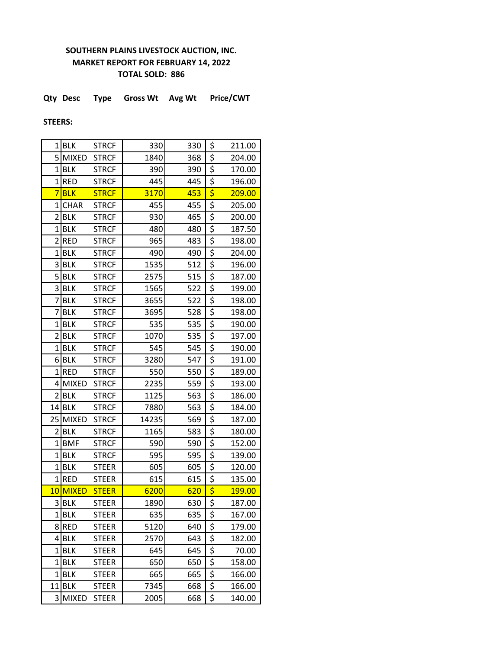## **SOUTHERN PLAINS LIVESTOCK AUCTION, INC. MARKET REPORT FOR FEBRUARY 14, 2022 TOTAL SOLD: 886**

**Qty Desc Type Gross Wt Avg Wt Price/CWT**

## **STEERS:**

|                | $1$ BLK      | <b>STRCF</b> | 330   | 330 | \$                                  | 211.00 |
|----------------|--------------|--------------|-------|-----|-------------------------------------|--------|
| 5 <sup>1</sup> | <b>MIXED</b> | <b>STRCF</b> | 1840  | 368 | \$                                  | 204.00 |
| 1              | <b>BLK</b>   | <b>STRCF</b> | 390   | 390 | \$                                  | 170.00 |
| 1              | <b>RED</b>   | <b>STRCF</b> | 445   | 445 | \$                                  | 196.00 |
| 7              | <b>BLK</b>   | <b>STRCF</b> | 3170  | 453 | $\overline{\boldsymbol{\varsigma}}$ | 209.00 |
| 1              | <b>CHAR</b>  | <b>STRCF</b> | 455   | 455 | \$                                  | 205.00 |
| 2              | <b>BLK</b>   | <b>STRCF</b> | 930   | 465 | \$                                  | 200.00 |
| 1              | <b>BLK</b>   | <b>STRCF</b> | 480   | 480 | \$                                  | 187.50 |
| $\overline{2}$ | <b>RED</b>   | <b>STRCF</b> | 965   | 483 | \$                                  | 198.00 |
| 1              | <b>BLK</b>   | <b>STRCF</b> | 490   | 490 | \$                                  | 204.00 |
| 3              | <b>BLK</b>   | <b>STRCF</b> | 1535  | 512 | \$                                  | 196.00 |
| 5              | <b>BLK</b>   | <b>STRCF</b> | 2575  | 515 | \$                                  | 187.00 |
| $\vert$ 3      | <b>BLK</b>   | <b>STRCF</b> | 1565  | 522 | \$                                  | 199.00 |
| 7              | <b>BLK</b>   | <b>STRCF</b> | 3655  | 522 | \$                                  | 198.00 |
| 7              | <b>BLK</b>   | <b>STRCF</b> | 3695  | 528 | \$                                  | 198.00 |
| 1              | <b>BLK</b>   | <b>STRCF</b> | 535   | 535 | \$                                  | 190.00 |
| 2              | <b>BLK</b>   | <b>STRCF</b> | 1070  | 535 | \$                                  | 197.00 |
| 1              | <b>BLK</b>   | <b>STRCF</b> | 545   | 545 | \$                                  | 190.00 |
| 6              | <b>BLK</b>   | <b>STRCF</b> | 3280  | 547 | \$                                  | 191.00 |
|                | 1RED         | <b>STRCF</b> | 550   | 550 | \$                                  | 189.00 |
| 4              | <b>MIXED</b> | <b>STRCF</b> | 2235  | 559 | \$                                  | 193.00 |
| 2              | <b>BLK</b>   | <b>STRCF</b> | 1125  | 563 | \$                                  | 186.00 |
| 14             | <b>BLK</b>   | <b>STRCF</b> | 7880  | 563 | \$                                  | 184.00 |
| 25             | <b>MIXED</b> | <b>STRCF</b> | 14235 | 569 | \$                                  | 187.00 |
| 2              | <b>BLK</b>   | <b>STRCF</b> | 1165  | 583 | \$                                  | 180.00 |
| $\overline{1}$ | <b>BMF</b>   | <b>STRCF</b> | 590   | 590 | \$                                  | 152.00 |
| 1              | <b>BLK</b>   | <b>STRCF</b> | 595   | 595 | \$                                  | 139.00 |
| $\overline{1}$ | <b>BLK</b>   | <b>STEER</b> | 605   | 605 | \$                                  | 120.00 |
| 1              | <b>RED</b>   | <b>STEER</b> | 615   | 615 | \$                                  | 135.00 |
| 10             | <b>MIXED</b> | <b>STEER</b> | 6200  | 620 | \$                                  | 199.00 |
|                | 3 BLK        | STEER        | 1890  | 630 | \$                                  | 187.00 |
| 1              | <b>BLK</b>   | <b>STEER</b> | 635   | 635 | \$                                  | 167.00 |
| 8              | <b>RED</b>   | <b>STEER</b> | 5120  | 640 | \$                                  | 179.00 |
| 4              | <b>BLK</b>   | <b>STEER</b> | 2570  | 643 | \$                                  | 182.00 |
| 1              | <b>BLK</b>   | <b>STEER</b> | 645   | 645 | $\overline{\xi}$                    | 70.00  |
| 1              | <b>BLK</b>   | <b>STEER</b> | 650   | 650 | $\overline{\xi}$                    | 158.00 |
| 1              | <b>BLK</b>   | <b>STEER</b> | 665   | 665 | \$                                  | 166.00 |
| 11             | <b>BLK</b>   | <b>STEER</b> | 7345  | 668 | \$                                  | 166.00 |
| 3              | <b>MIXED</b> | <b>STEER</b> | 2005  | 668 | \$                                  | 140.00 |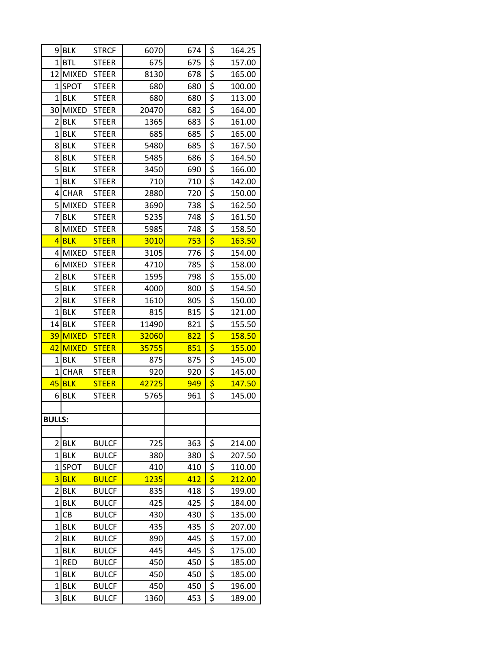| 9              | <b>BLK</b>   | <b>STRCF</b> | 6070  | 674 | \$                                  | 164.25        |
|----------------|--------------|--------------|-------|-----|-------------------------------------|---------------|
|                | $1$ $BTL$    | <b>STEER</b> | 675   | 675 | \$                                  | 157.00        |
| 12             | <b>MIXED</b> | <b>STEER</b> | 8130  | 678 | \$                                  | 165.00        |
|                | 1 SPOT       | <b>STEER</b> | 680   | 680 | \$                                  | 100.00        |
| 1              | BLK          | <b>STEER</b> | 680   | 680 | \$                                  | 113.00        |
| 30             | <b>MIXED</b> | <b>STEER</b> | 20470 | 682 | \$                                  | 164.00        |
| $\overline{2}$ | <b>BLK</b>   | <b>STEER</b> | 1365  | 683 | \$                                  | 161.00        |
| 1              | <b>BLK</b>   | <b>STEER</b> | 685   | 685 | \$                                  | 165.00        |
| 8              | <b>BLK</b>   | <b>STEER</b> | 5480  | 685 | \$                                  | 167.50        |
|                | 8BLK         | <b>STEER</b> | 5485  | 686 | \$                                  | 164.50        |
|                | $5$ BLK      | <b>STEER</b> | 3450  | 690 | \$                                  | 166.00        |
| $\mathbf 1$    | BLK          | <b>STEER</b> | 710   | 710 | \$                                  | 142.00        |
|                | 4CHAR        | <b>STEER</b> | 2880  | 720 | \$                                  | 150.00        |
| 5              | <b>MIXED</b> | <b>STEER</b> | 3690  | 738 | \$                                  | 162.50        |
| 7              | <b>BLK</b>   | <b>STEER</b> | 5235  | 748 | \$                                  | 161.50        |
|                | 8 MIXED      | <b>STEER</b> | 5985  | 748 | \$                                  | 158.50        |
|                | $4$ BLK      | <b>STEER</b> | 3010  | 753 | \$                                  | 163.50        |
| 4              | MIXED        | <b>STEER</b> | 3105  | 776 | \$                                  | 154.00        |
| 6              | <b>MIXED</b> | <b>STEER</b> | 4710  | 785 | \$                                  | 158.00        |
| 2              | <b>BLK</b>   | <b>STEER</b> | 1595  | 798 | \$                                  | 155.00        |
|                | 5BLK         | <b>STEER</b> | 4000  | 800 | \$                                  | 154.50        |
| $\overline{2}$ | <b>BLK</b>   | <b>STEER</b> | 1610  | 805 | \$                                  | 150.00        |
| 1              | <b>BLK</b>   | <b>STEER</b> | 815   | 815 | \$                                  | 121.00        |
| 14             | <b>BLK</b>   | <b>STEER</b> | 11490 | 821 | \$                                  | 155.50        |
| 39             | <b>MIXED</b> | <b>STEER</b> | 32060 | 822 | \$                                  | <b>158.50</b> |
| 42             | <b>MIXED</b> | <b>STEER</b> | 35755 | 851 | \$                                  | 155.00        |
| 1              | <b>BLK</b>   | <b>STEER</b> | 875   | 875 | \$                                  | 145.00        |
| $\mathbf{1}$   | <b>CHAR</b>  | <b>STEER</b> | 920   | 920 | \$                                  | 145.00        |
| 45             | <b>BLK</b>   | <b>STEER</b> | 42725 | 949 | $\overline{\boldsymbol{\varsigma}}$ | 147.50        |
| 6              | <b>BLK</b>   | <b>STEER</b> | 5765  | 961 | \$                                  | 145.00        |
|                |              |              |       |     |                                     |               |
| <b>BULLS:</b>  |              |              |       |     |                                     |               |
|                |              |              |       |     |                                     |               |
| $\overline{2}$ | <b>BLK</b>   | <b>BULCF</b> | 725   | 363 | \$                                  | 214.00        |
|                | $1$ BLK      | <b>BULCF</b> | 380   | 380 | \$                                  | 207.50        |
| 1              | <b>SPOT</b>  | <b>BULCF</b> | 410   | 410 | \$                                  | 110.00        |
| 3              | <b>BLK</b>   | <b>BULCF</b> | 1235  | 412 | \$                                  | 212.00        |
| $\overline{2}$ | <b>BLK</b>   | <b>BULCF</b> | 835   | 418 | \$                                  | 199.00        |
| 1              | <b>BLK</b>   | <b>BULCF</b> | 425   | 425 | \$                                  | 184.00        |
| $1\vert$       | <b>CB</b>    | <b>BULCF</b> | 430   | 430 | \$                                  | 135.00        |
| 1              | <b>BLK</b>   | <b>BULCF</b> | 435   | 435 | \$                                  | 207.00        |
| $\overline{2}$ | <b>BLK</b>   | <b>BULCF</b> | 890   | 445 | \$                                  | 157.00        |
| 1              | <b>BLK</b>   | <b>BULCF</b> | 445   | 445 | $\overline{\mathcal{L}}$            | 175.00        |
| 1              | <b>RED</b>   | <b>BULCF</b> | 450   | 450 | \$                                  | 185.00        |
| $\mathbf{1}$   | <b>BLK</b>   | <b>BULCF</b> | 450   | 450 | \$                                  | 185.00        |
| $1\vert$       | <b>BLK</b>   | <b>BULCF</b> | 450   | 450 | \$                                  | 196.00        |
| 3              | <b>BLK</b>   | <b>BULCF</b> | 1360  | 453 | \$                                  | 189.00        |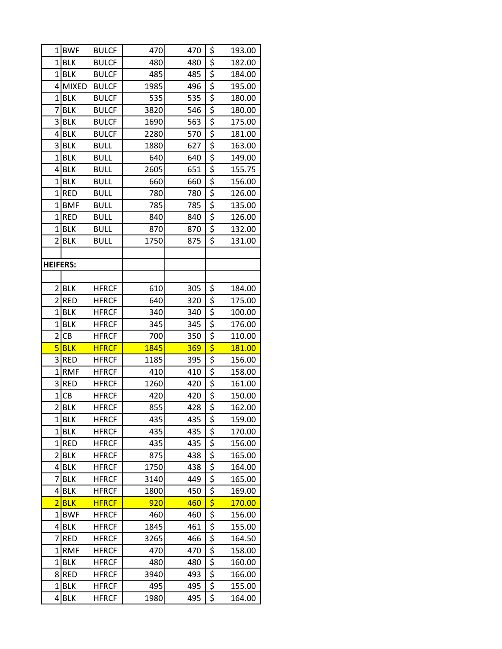| 1                   | <b>BWF</b>   | <b>BULCF</b> | 470  | 470 | \$               | 193.00 |
|---------------------|--------------|--------------|------|-----|------------------|--------|
| $1\vert$            | <b>BLK</b>   | <b>BULCF</b> | 480  | 480 | \$               | 182.00 |
| $\mathbf 1$         | <b>BLK</b>   | <b>BULCF</b> | 485  | 485 | $\overline{\xi}$ | 184.00 |
| 4                   | <b>MIXED</b> | <b>BULCF</b> | 1985 | 496 | $\overline{\xi}$ | 195.00 |
| $\overline{1}$      | <b>BLK</b>   | <b>BULCF</b> | 535  | 535 | \$               | 180.00 |
| 7                   | <b>BLK</b>   | <b>BULCF</b> | 3820 | 546 | $\overline{\xi}$ | 180.00 |
| 3                   | <b>BLK</b>   | <b>BULCF</b> | 1690 | 563 | \$               | 175.00 |
| 4                   | <b>BLK</b>   | <b>BULCF</b> | 2280 | 570 | $\overline{\xi}$ | 181.00 |
| 3                   | <b>BLK</b>   | <b>BULL</b>  | 1880 | 627 | \$               | 163.00 |
| $\overline{1}$      | <b>BLK</b>   | <b>BULL</b>  | 640  | 640 | \$               | 149.00 |
| 4                   | <b>BLK</b>   | <b>BULL</b>  | 2605 | 651 | \$               | 155.75 |
| 1                   | <b>BLK</b>   | <b>BULL</b>  | 660  | 660 | \$               | 156.00 |
| $\overline{1}$      | <b>RED</b>   | <b>BULL</b>  | 780  | 780 | \$               | 126.00 |
| $\overline{1}$      | <b>BMF</b>   | <b>BULL</b>  | 785  | 785 | $\overline{\xi}$ | 135.00 |
| $\overline{1}$      | <b>RED</b>   | <b>BULL</b>  | 840  | 840 | $\overline{\xi}$ | 126.00 |
| 1                   | <b>BLK</b>   | <b>BULL</b>  | 870  | 870 | $\overline{\xi}$ | 132.00 |
| $\overline{2}$      | <b>BLK</b>   | <b>BULL</b>  | 1750 | 875 | \$               | 131.00 |
|                     |              |              |      |     |                  |        |
| <b>HEIFERS:</b>     |              |              |      |     |                  |        |
|                     |              |              |      |     |                  |        |
| $\overline{2}$      | <b>BLK</b>   | <b>HFRCF</b> | 610  | 305 | \$               | 184.00 |
| $\overline{2}$      | <b>RED</b>   | <b>HFRCF</b> | 640  | 320 | $\overline{\xi}$ | 175.00 |
| 1                   | <b>BLK</b>   | <b>HFRCF</b> | 340  | 340 | \$               | 100.00 |
| $\overline{1}$      | <b>BLK</b>   | <b>HFRCF</b> | 345  | 345 | \$               | 176.00 |
| $\overline{2}$      | CB           | <b>HFRCF</b> | 700  | 350 | $\overline{\xi}$ | 110.00 |
| 5                   | <b>BLK</b>   | <b>HFRCF</b> | 1845 | 369 | \$               | 181.00 |
| 3                   | <b>RED</b>   | <b>HFRCF</b> | 1185 | 395 | \$               | 156.00 |
| $\mathbf 1$         | <b>RMF</b>   | <b>HFRCF</b> | 410  | 410 | \$               | 158.00 |
| 3                   | <b>RED</b>   | <b>HFRCF</b> | 1260 | 420 | $\overline{\xi}$ | 161.00 |
| 1                   | CB           | <b>HFRCF</b> | 420  | 420 | \$               | 150.00 |
| $\overline{2}$      | <b>BLK</b>   | <b>HFRCF</b> | 855  | 428 | \$               | 162.00 |
| 1                   | <b>BLK</b>   | <b>HFRCF</b> | 435  | 435 | \$               | 159.00 |
| $\mathbf{1}$        | <b>BLK</b>   | <b>HFRCF</b> | 435  | 435 | \$               | 170.00 |
| 1                   | <b>RED</b>   | <b>HFRCF</b> | 435  | 435 | \$               | 156.00 |
| 2                   | <b>BLK</b>   | <b>HFRCF</b> | 875  | 438 | \$               | 165.00 |
| 4                   | <b>BLK</b>   | <b>HFRCF</b> | 1750 | 438 | $\overline{\xi}$ | 164.00 |
| 7                   | <b>BLK</b>   | <b>HFRCF</b> | 3140 | 449 | $\overline{\xi}$ | 165.00 |
| 4<br>$\overline{2}$ | <b>BLK</b>   | <b>HFRCF</b> | 1800 | 450 | \$               | 169.00 |
|                     | <b>BLK</b>   | <b>HFRCF</b> | 920  | 460 | \$               | 170.00 |
| 1<br>4              | <b>BWF</b>   | <b>HFRCF</b> | 460  | 460 | \$               | 156.00 |
|                     | <b>BLK</b>   | <b>HFRCF</b> | 1845 | 461 | $\overline{\xi}$ | 155.00 |
| 7                   | <b>RED</b>   | <b>HFRCF</b> | 3265 | 466 | \$               | 164.50 |
| 1                   | <b>RMF</b>   | <b>HFRCF</b> | 470  | 470 | $\overline{\xi}$ | 158.00 |
| 1                   | <b>BLK</b>   | <b>HFRCF</b> | 480  | 480 | \$               | 160.00 |
| 8                   | <b>RED</b>   | <b>HFRCF</b> | 3940 | 493 | \$               | 166.00 |
| $\mathbf 1$         | <b>BLK</b>   | <b>HFRCF</b> | 495  | 495 | \$               | 155.00 |
| 4                   | <b>BLK</b>   | <b>HFRCF</b> | 1980 | 495 | \$               | 164.00 |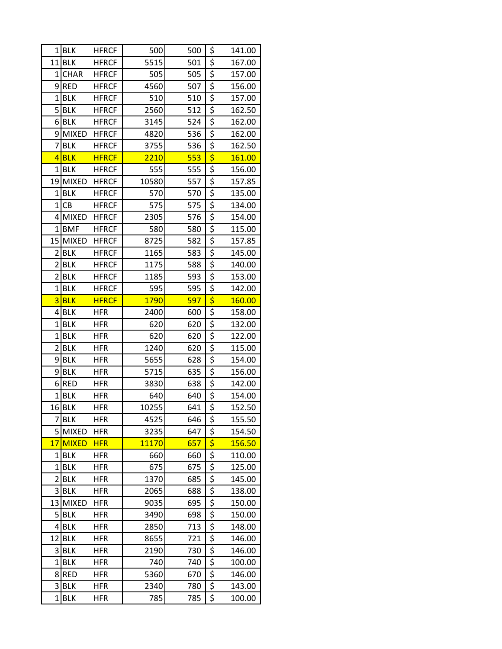|                         | $1$ BLK      | <b>HFRCF</b> | 500          | 500 | \$                                   | 141.00 |
|-------------------------|--------------|--------------|--------------|-----|--------------------------------------|--------|
|                         | $11$ BLK     | <b>HFRCF</b> | 5515         | 501 | \$                                   | 167.00 |
| 1                       | <b>CHAR</b>  | <b>HFRCF</b> | 505          | 505 | $\overline{\xi}$                     | 157.00 |
| 9                       | RED          | <b>HFRCF</b> | 4560         | 507 | $\overline{\overline{\overline{z}}}$ | 156.00 |
| 1                       | <b>BLK</b>   | <b>HFRCF</b> | 510          | 510 | \$                                   | 157.00 |
| 5                       | <b>BLK</b>   | <b>HFRCF</b> | 2560         | 512 | \$                                   | 162.50 |
|                         | 6BLK         | <b>HFRCF</b> | 3145         | 524 | \$                                   | 162.00 |
| 9                       | <b>MIXED</b> | <b>HFRCF</b> | 4820         | 536 | $\overline{\xi}$                     | 162.00 |
| 7                       | <b>BLK</b>   | <b>HFRCF</b> | 3755         | 536 | \$                                   | 162.50 |
| 4                       | <b>BLK</b>   | <b>HFRCF</b> | 2210         | 553 | \$                                   | 161.00 |
| 1                       | <b>BLK</b>   | <b>HFRCF</b> | 555          | 555 | $\overline{\xi}$                     | 156.00 |
|                         | 19 MIXED     | <b>HFRCF</b> | 10580        | 557 | \$                                   | 157.85 |
| 1                       | <b>BLK</b>   | <b>HFRCF</b> | 570          | 570 | \$                                   | 135.00 |
| $\mathbf{1}$            | <b>CB</b>    | <b>HFRCF</b> | 575          | 575 | $\overline{\xi}$                     | 134.00 |
|                         | 4 MIXED      | <b>HFRCF</b> | 2305         | 576 | $\overline{\xi}$                     | 154.00 |
| 1                       | <b>BMF</b>   | <b>HFRCF</b> | 580          | 580 | \$                                   | 115.00 |
| 15                      | <b>MIXED</b> | <b>HFRCF</b> | 8725         | 582 | $rac{5}{5}$                          | 157.85 |
| 2                       | <b>BLK</b>   | <b>HFRCF</b> | 1165         | 583 |                                      | 145.00 |
| $\overline{2}$          | <b>BLK</b>   | <b>HFRCF</b> | 1175         | 588 | \$                                   | 140.00 |
| $\overline{2}$          | <b>BLK</b>   | <b>HFRCF</b> | 1185         | 593 | \$                                   | 153.00 |
|                         | $1$ BLK      | <b>HFRCF</b> | 595          | 595 | \$                                   | 142.00 |
| $\overline{\mathbf{3}}$ | <b>BLK</b>   | <b>HFRCF</b> | <b>1790</b>  | 597 | \$                                   | 160.00 |
| 4                       | <b>BLK</b>   | <b>HFR</b>   | 2400         | 600 | \$                                   | 158.00 |
| 1                       | <b>BLK</b>   | <b>HFR</b>   | 620          | 620 | \$                                   | 132.00 |
| 1                       | <b>BLK</b>   | <b>HFR</b>   | 620          | 620 | \$                                   | 122.00 |
|                         | 2 BLK        | <b>HFR</b>   | 1240         | 620 | \$                                   | 115.00 |
| 9                       | <b>BLK</b>   | <b>HFR</b>   | 5655         | 628 | \$                                   | 154.00 |
| 9                       | <b>BLK</b>   | <b>HFR</b>   | 5715         | 635 |                                      | 156.00 |
| 6                       | <b>RED</b>   | <b>HFR</b>   | 3830         | 638 | $rac{5}{5}$                          | 142.00 |
| $\mathbf{1}$            | <b>BLK</b>   | <b>HFR</b>   | 640          | 640 | $\overline{\xi}$                     | 154.00 |
| 16                      | <b>BLK</b>   | <b>HFR</b>   | 10255        | 641 | \$                                   | 152.50 |
| 7                       | <b>BLK</b>   | <b>HFR</b>   | 4525         | 646 | \$                                   | 155.50 |
|                         | 5 MIXED      | <b>HFR</b>   | 3235         | 647 | \$                                   | 154.50 |
| 17                      | <b>MIXED</b> | <b>HFR</b>   | <b>11170</b> | 657 | \$                                   | 156.50 |
| 1                       | <b>BLK</b>   | <b>HFR</b>   | 660          | 660 | \$                                   | 110.00 |
| 1                       | <b>BLK</b>   | <b>HFR</b>   | 675          | 675 | $rac{5}{5}$                          | 125.00 |
| 2                       | <b>BLK</b>   | <b>HFR</b>   | 1370         | 685 |                                      | 145.00 |
|                         | 3BLK         | <b>HFR</b>   | 2065         | 688 | \$                                   | 138.00 |
| 13                      | <b>MIXED</b> | <b>HFR</b>   | 9035         | 695 | \$                                   | 150.00 |
|                         | 5BLK         | <b>HFR</b>   | 3490         | 698 | $\overline{\xi}$                     | 150.00 |
| 4                       | <b>BLK</b>   | <b>HFR</b>   | 2850         | 713 | $\overline{\xi}$                     | 148.00 |
| 12                      | <b>BLK</b>   | <b>HFR</b>   | 8655         | 721 | \$                                   | 146.00 |
| 3                       | <b>BLK</b>   | <b>HFR</b>   | 2190         | 730 | $\overline{\xi}$                     | 146.00 |
| 1                       | BLK          | <b>HFR</b>   | 740          | 740 | $\overline{\xi}$                     | 100.00 |
|                         | 8RED         | <b>HFR</b>   | 5360         | 670 | \$                                   | 146.00 |
| $\overline{\mathbf{3}}$ | <b>BLK</b>   | <b>HFR</b>   | 2340         | 780 | \$                                   | 143.00 |
| 1                       | <b>BLK</b>   | <b>HFR</b>   | 785          | 785 | \$                                   | 100.00 |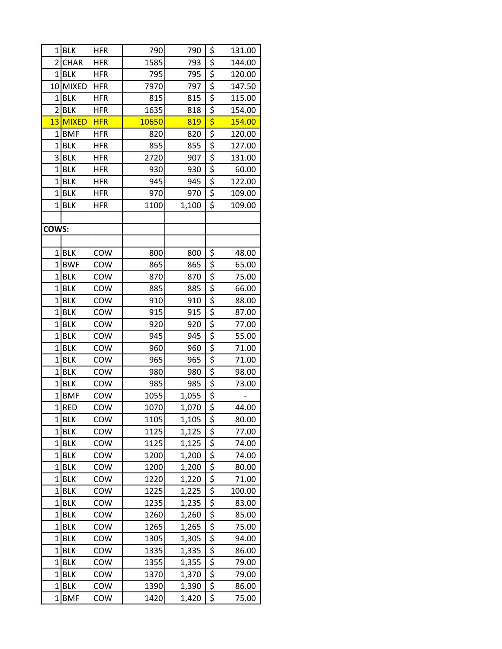| 1              | <b>BLK</b>   | <b>HFR</b> | 790   | 790   | \$                                  | 131.00 |
|----------------|--------------|------------|-------|-------|-------------------------------------|--------|
| $\overline{2}$ | <b>CHAR</b>  | <b>HFR</b> | 1585  | 793   | \$                                  | 144.00 |
| $1\vert$       | <b>BLK</b>   | <b>HFR</b> | 795   | 795   | \$                                  | 120.00 |
| 10             | <b>MIXED</b> | <b>HFR</b> | 7970  | 797   | \$                                  | 147.50 |
| 1              | <b>BLK</b>   | <b>HFR</b> | 815   | 815   | \$                                  | 115.00 |
| $\overline{2}$ | <b>BLK</b>   | <b>HFR</b> | 1635  | 818   | \$                                  | 154.00 |
| 13             | MIXED        | <b>HFR</b> | 10650 | 819   | $\overline{\boldsymbol{\varsigma}}$ | 154.00 |
| $\mathbf 1$    | <b>BMF</b>   | <b>HFR</b> | 820   | 820   | \$                                  | 120.00 |
| $\mathbf 1$    | <b>BLK</b>   | <b>HFR</b> | 855   | 855   | \$                                  | 127.00 |
| 3              | <b>BLK</b>   | <b>HFR</b> | 2720  | 907   | \$                                  | 131.00 |
| $\mathbf 1$    | <b>BLK</b>   | <b>HFR</b> | 930   | 930   | $rac{5}{5}$                         | 60.00  |
| $\overline{1}$ | <b>BLK</b>   | <b>HFR</b> | 945   | 945   |                                     | 122.00 |
| 1              | <b>BLK</b>   | <b>HFR</b> | 970   | 970   | \$                                  | 109.00 |
| $\overline{1}$ | <b>BLK</b>   | <b>HFR</b> | 1100  | 1,100 | \$                                  | 109.00 |
|                |              |            |       |       |                                     |        |
| COWS:          |              |            |       |       |                                     |        |
|                |              |            |       |       |                                     |        |
| $1\vert$       | <b>BLK</b>   | COW        | 800   | 800   | \$                                  | 48.00  |
| $\overline{1}$ | <b>BWF</b>   | COW        | 865   | 865   | \$                                  | 65.00  |
| $\mathbf 1$    | <b>BLK</b>   | COW        | 870   | 870   | \$                                  | 75.00  |
| $\overline{1}$ | <b>BLK</b>   | COW        | 885   | 885   | \$                                  | 66.00  |
| $\overline{1}$ | <b>BLK</b>   | COW        | 910   | 910   | $\overline{\xi}$                    | 88.00  |
| $\mathbf 1$    | <b>BLK</b>   | COW        | 915   | 915   | $\overline{\xi}$                    | 87.00  |
| $\overline{1}$ | <b>BLK</b>   | COW        | 920   | 920   | $\overline{\xi}$                    | 77.00  |
| 1              | <b>BLK</b>   | COW        | 945   | 945   | $rac{5}{5}$                         | 55.00  |
| $\overline{1}$ | <b>BLK</b>   | COW        | 960   | 960   |                                     | 71.00  |
| $\overline{1}$ | <b>BLK</b>   | COW        | 965   | 965   | \$                                  | 71.00  |
| $\overline{1}$ | <b>BLK</b>   | COW        | 980   | 980   | \$                                  | 98.00  |
| $\overline{1}$ | <b>BLK</b>   | COW        | 985   | 985   | $rac{5}{5}$                         | 73.00  |
| $\mathbf 1$    | <b>BMF</b>   | COW        | 1055  | 1,055 |                                     |        |
| $1\vert$       | <b>RED</b>   | COW        | 1070  | 1,070 | \$                                  | 44.00  |
| 1              | <b>BLK</b>   | COW        | 1105  | 1,105 | \$                                  | 80.00  |
| $\mathbf 1$    | <b>BLK</b>   | COW        | 1125  | 1,125 | $\overline{\xi}$                    | 77.00  |
| $\mathbf 1$    | <b>BLK</b>   | COW        | 1125  | 1,125 | $\overline{\xi}$                    | 74.00  |
| $1\vert$       | <b>BLK</b>   | COW        | 1200  | 1,200 | \$                                  | 74.00  |
| $\mathbf 1$    | <b>BLK</b>   | COW        | 1200  | 1,200 | \$                                  | 80.00  |
| 1              | <b>BLK</b>   | COW        | 1220  | 1,220 | $rac{5}{5}$                         | 71.00  |
| $\mathbf 1$    | <b>BLK</b>   | COW        | 1225  | 1,225 |                                     | 100.00 |
| $\mathbf 1$    | <b>BLK</b>   | COW        | 1235  | 1,235 | \$                                  | 83.00  |
| $\mathbf 1$    | <b>BLK</b>   | COW        | 1260  | 1,260 | \$                                  | 85.00  |
| $\overline{1}$ | <b>BLK</b>   | COW        | 1265  | 1,265 | $\overline{\xi}$                    | 75.00  |
| $\mathbf 1$    | <b>BLK</b>   | COW        | 1305  | 1,305 | \$                                  | 94.00  |
| $\mathbf 1$    | <b>BLK</b>   | COW        | 1335  | 1,335 | \$                                  | 86.00  |
| 1              | <b>BLK</b>   | COW        | 1355  | 1,355 | $rac{5}{5}$                         | 79.00  |
| $\mathbf 1$    | <b>BLK</b>   | COW        | 1370  | 1,370 |                                     | 79.00  |
| $\mathbf 1$    | <b>BLK</b>   | COW        | 1390  | 1,390 | \$                                  | 86.00  |
| $\mathbf 1$    | <b>BMF</b>   | COW        | 1420  | 1,420 | \$                                  | 75.00  |